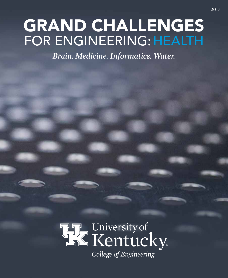# GRAND CHALLENGES FOR ENGINEERING: HEALTH

*Brain. Medicine. Informatics. Water.*

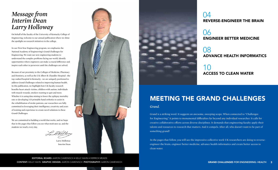On behalf of the faculty of the University of Kentucky College of Engineering, welcome to our annual publication where we shine the spotlight on research initiatives in the college.

In our First-Year Engineering program, we emphasize the National Academy of Engineering's Grand Challenges for Engineering. We want our new engineering students to understand the complex problems facing our world, identify opportunities where engineers can make a crucial difference and inspire each other to persevere until the challenges are solved.

Because of our proximity to the Colleges of Medicine, Pharmacy and Dentistry, as well as the UK Albert B. Chandler Hospital—the top-ranked hospital in Kentucky—we are uniquely positioned to address Grand Challenges related to improving human health. In this publication, we highlight how UK faculty research benefits heart attack victims, children with autism, individuals with muscle wounds, smokers wanting to quit and more. Whether it is using data mining to lower the epilepsy mortality rate or developing 3-D printable hand orthotics to assist in the rehabilitation of stroke patients, our researchers are fully committed to leveraging their intelligence, creativity and years of training and experience to create novel solutions to these Grand Challenges.

EDITORIAL BOARD: AARON CAMENISCH • KELLY HAHN • DERRICK MEADS CONTENT: KELLY HAHN GRAPHIC DESIGN: AARON CAMENISCH PHOTOGRAPHY: AARON CAMENISCH GRAND CHALLENGES FOR ENGINEERING: HEALTH 3

We are committed to building a world that works, and we hope that in the pages that follow you see what motivates us, and the students we teach, every day.

Law&Hollo

Larry Holloway Interim Dean



### *Message from Interim Dean Larry Holloway*

# MEETING THE GRAND CHALLENGES

#### *Grand.*

Grand is a striking word. It suggests an awesome, sweeping scope. When connected to "Challenges for Engineering," it points to monumental difficulties far beyond any individual researcher. It calls for creative collaborative efforts across diverse disciplines. It demands that engineering faculty apply their talents and resources to research that matters. And it compels. After all, who doesn't want to be part of something grand?

In the pages that follow, you will see the impressive collective work UK researchers are doing to reverseengineer the brain, engineer better medicine, advance health informatics and create better access to clean water.

### 04 REVERSE-ENGINEER THE BRAIN

### 06 ENGINEER BETTER MEDICINE

### 08 ADVANCE HEALTH INFORMATICS

10 ACCESS TO CLEAN WATER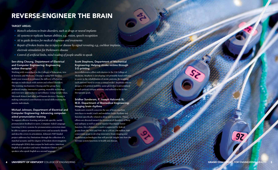## REVERSE-ENGINEER THE BRAIN

#### TARGET AREAS:

- *Biotech solutions to brain disorders, such as drugs or neural implants*
- *AI systems to replicate human abilities, e.g., vision, speech recognition*
- *AI to guide devices for medical diagnoses and treatments*
- *Repair of broken brains due to injury or disease by signal rerouting, e.g., cochlear implants, electrode stimulation for Parkinson's disease*
- *Control of artificial limbs, mind reading of people unable to speak*

#### Sen-ching Cheung, Department of Electrical and Computer Engineering: Engineering autism therapies

Working with researchers in the Colleges of Education, Arts & Sciences and Medicine, Cheung is using NSF-funded, multi-year research to enhance the delivery of behavior therapy to individuals with autism and related disorders. The training mechanisms Cheung and his group have produced employ interactive gaming, wearable technology and even new approaches to surveillance. Using Google Glass, Microsoft Kinect and other well-known devices, Cheung is making substantial contributions to social skills training for autistic individuals.

#### Michael Johnson, Department of Electrical and Computer Engineering: Advancing computeraided pronunciation training

To support effective learning and provide specific, useful pronunciation feedback to users, Computer Aided Language Learning (CALL) systems for pronunciation correction must be able to capture pronunciation errors and accurately identify and describe errors in articulation. Johnson's NSF-funded project addresses key limitations through the collection of a matched acoustic and five degree of freedom electromagnetic articulograph (EMA) data corpus for both native American English (L1) speakers and native Mandarin Chinese (L2) speakers who speak English as a second language.

#### Scott Stephens, Department of Mechanical Engineering: Helping stroke victims through 3-D printing

In a collaborative effort with doctors in the UK College of Medicine, Stephens is developing 3-D printable hand orthotics to assist in the rehabilitation of stroke patients. By scanning each patient's hand to create a virtual model, Stephens aims to design a 3-D printed mobility assist glove that is personalized to each patient's unique anatomy and tailored to his or her therapeutic goals.

#### Sridhar Sunderam, F. Joseph Halcomb III, M.D. Department of Biomedical Engineering: Imaging brain rhythms

Sunderam's research concerns the use of brain-machine interfaces to model, track and modulate brain rhythms and function specifically related to sleep and movement. These efforts are directed toward the treatment of disorders of sleep and epilepsy as well as neural injuries that impair motor function. His collaborative work is supported by federal grants from the NIH and NSF. He is a PI on a \$6 million NSF consortium grant to develop innovative brain imaging and modulation technologies that will provide insight into how the nervous system functions in health and disease.



5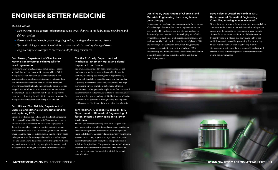# ENGINEER BETTER MEDICINE

#### TARGET AREAS:

- *New systems to use genetic information to sense small changes in the body, assess new drugs and deliver vaccines*
- *Personalized medicine for preventing, diagnosing, treating and monitoring disease*
- *Synthetic biology novel biomaterials to replace or aid in repair of damaged tissue*
- *Engineering new strategies to overcome multiple drug resistances*

#### Brad Berron, Department of Chemical and Materials Engineering: Isolating cells for heart regeneration

Following a heart attack, damaged tissue has poor access to blood flow and a reduced ability to pump blood. While therapies based on rare stem cells effectively aid in the formation of new blood vessels, it takes days to isolate these rare cells from bone marrow. Berron's lab has developed protective coatings that make these rare cells easier to isolate. His goal is to withdraw bone marrow from a patient, isolate the therapeutic cells and administer the cell therapy in the same surgery, lowering the risk of infection and the cost of the therapy. Berron's research is funded by NIH and NSF.

#### Zach Hilt and Tom Dziubla, Department of Chemical and Materials Engineering: Binding and capturing PCBs

Despite a production ban in 1979 and decades of remediation efforts, polychlorinated biphenyls (PCBs) remain a persistent environmental contaminant. Their continued presence in the environment has resulted in multiple potential human exposure routes, such as soil, riverbeds, groundwater and milk. There remains a need for a stable system that selectively binds and captures PCBs for sensing and remediation technologies. Hilt and Dziubla have developed a novel strategy to synthesize polymeric networks that incorporate phenolic moieties, with the capability of binding PCBs from environmental sources.

#### Martha E. Grady, Department of Mechanical Engineering: Saving dental implants from disease

Peri-implantitis, initiated by bacterial infections around implants, poses a threat to an indispensable therapy in dentistry used to replace missing teeth. Approximately 3 million individuals have dental implants, and that number is growing by 500,000 a year. Grady is exploring new ways to overcome current limitations in bacterial adhesion measurement techniques at the implant interface. Successful development of such techniques will lead to the discovery of parameters that govern pathogenic biofilm-implant adhesion. Control of these parameters by engineering new implants could reduce the likelihood of the onset of peri-implantitis.

#### Tom Hedman, F. Joseph Halcomb III, M.D. Department of Biomedical Engineering: A faster, cheaper, better solution to lower back pain

Millions of Americans suffering from low back pain could soon have a quick, cost-effective and permanent solution for the debilitating ailment. Hedman's solution, an injectable liquid called Réjuve, has received promising early results from a recent clinical study. Réjuve is an injectable orthopaedic device that mechanically strengthens the spinal disc and stabilizes the spinal joint. The procedure takes 15-20 minutes to administer and costs considerably less than current and emerging treatments. Hedman is Intralink-Spine's chief scientific officer.

#### Daniel Pack, Department of Chemical and Materials Engineering: Improving human gene therapy

Human gene therapy holds tremendous promise for treatment of a wide range of diseases, but clinical implementation has been hindered by the lack of safe and efficient methods for delivery of genetic material. Pack is developing microfluidic systems for construction of multilayered, multifunctional nonviral vectors. The devices will bring solutions of plasmid DNA and polymer(s) into contact under laminar flow, providing enhanced reproducibility and control of polymer/DNA stoichiometry and interaction times and allowing introduction of multiple materials in a sequential fashion and defined spatial arrangement.



#### Dave Puleo, F. Joseph Halcomb III, M.D. Department of Biomedical Engineering: Controlling scarring in muscle wounds

Muscle injuries are among the most common musculoskeletal conditions in the United States. While satellite cells provide muscle with the potential for regeneration, large wounds often suffer an excessive proliferation of fibroblasts that frequently results in fibrosis and scarring. In light of the multiple demands needed for preventing fibrotic scarring, Puleo's multidisciplinary team is delivering multiple biomolecules in a site-specific and temporally orchestrated manner to treat different aspects of the inflammatory and wound healing processes.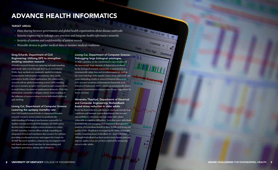# ADVANCE HEALTH INFORMATICS

#### TARGET AREAS:

- *Data sharing between governments and global health organizations about disease outbreaks*
- *Systems engineering to redesign care practices and integrate health informatics networks*
- *Security of systems and confidentiality of patient records*
- *Wearable devices to gather medical data or monitor medical conditions*

#### Greg Erhardt, Department of Civil Engineering: Utilizing GPS to strengthen smoking cessation research

Erhardt's research focuses on capturing and understanding individuals' daily travel through their local environment. While these methods are commonly applied to evaluate transportation infrastructure investments, they can be extended to health-related applications. His collaborative research will use global positioning system (GPS) tracking devices to monitor people's travel patterns and compare them to retail tobacco locations in southeastern Kentucky. With this information, researchers will gain a better understanding of the influence of access to tobacco on an individual's ability to quit smoking.

#### Licong Cui, Department of Computer Science: Lowering the epilepsy mortality rate

Cui's NIH-funded research looks to expand and broaden research resources across centers to accelerate the understanding of biological mechanisms responsible for Sudden Unexpected Death from Epilepsy (SUDEP) and to develop intervention and prevention measures to reduce SUDEP mortality. Current efforts include expanding an integrated clinical and translation data resource for epilepsy, providing coordinated services and support for Center for SUDEP Research members, empowering investigators with web-based cohort search interface for data mining and hypothesis generation, among other initiatives.

#### Licong Cui, Department of Computer Science: Debugging large biological ontologies

omize

& Sign Comment

To fully capitalize on the transformative opportunities of the increasingly large amounts of digital data produced by the biological research community, a need persists to systematically adopt data and metadata standards, such as the Gene Ontology (GO). Quality issues, if not addressed, can cause misleading results or missed biological discoveries. Cui's research proposes a Subsumption-based Sub-term Inference Framework (SSIF), which can automatically detect semantic inconsistencies and generate change suggestions for future versions.

#### Himanshu Thapliyal, Department of Electrical and Computer Engineering: Biofeedbackbased stress reduction in older adults

Stress has been linked to a plethora of emotional and physical conditions and immune system disturbances that increase susceptibility to infections and may make older adults vulnerable to cognitive difficulties. Tools that assist individuals in monitoring and managing their emotional dysregulation could be of tremendous benefit to their health, well-being and quality of life. Thapliyal is investigating the utility of portable mobile computing-based biofeedback for stress reduction. Although biofeedback has been used to treat chronic pain and improve agility, it has not yet been explored for measuring stress in older adults.

9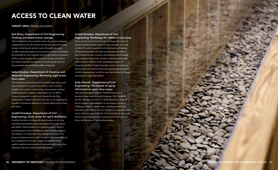### ACCESS TO CLEAN WATER

TARGET AREA: *Disease prevention*

#### Gail Brion, Department of Civil Engineering: Tracking untreated human sewage

The incidence of cyanobacteria in harmful algal blooms and concentrations of cyanotoxins in surface waters used for potable water sources is increasing. Unfortunately, existing traditional water treatment technologies are not able to remove cyanotoxins to safe levels. Funded by the Ohio Department of Higher Education, Escobar is investigating the benefits of membrane filtration to contain algal toxins at basic pH values.

Almost 50 percent of our nation's waters do not meet pathogen standards set by the Clean Water Act because untreated human sewage is entering our surface waters through leaky pipes, overflows and unintended cross connections. Brion is evaluating the potential of a new indicator based on personal care products (PCPs), acetaminophen and sucralose in sewage to develop a new fecal source and age indicator by analyzing the ratios of one persistent and one biodegradable compound.

#### Isabel Escobar, Department of Chemical and Materials Engineering: Removing algal toxins from water

#### Lindell Ormsbee, Department of Civil Engineering: Clean water for spirit distillation

Ormsbee has been working with Beam Suntory to develop watershed sustainability plans associated with its Jim Beam and Makers Mark distilleries in central Kentucky. Water is an integral part of spirit distillation, and to sustain and grow this industry, it is important that existing water sources be preserved and protected. Under Ormsbee's direction, students have sampled local streams to assess the ambient water quality conditions and identified local stakeholders and other industries that exist within those watersheds.

#### Lindell Ormsbee, Department of Civil Engineering: Workshops for utilities in rural areas

Many systems in eastern Kentucky are plagued by a lack of funds for needed system improvements, partially as a result of a loss of revenue associated with decreased coal mining. Delayed maintenance and other infrastructure problems have resulted in some systems experiencing system leakage rates as high as 50 percent. Ormsbee is helping small water and wastewater utilities in the Appalachian regions of Kentucky and West Virginia through a series of workshops that focus on the technical, financial and managerial aspects of utility management, as well as more personalized technical assistance for individual utilities.

#### Kelly Pennell, Department of Civil Engineering: The impact of aging infrastructure upon clean water

Through funding provided by NIEHS University of Kentucky Superfund Research Program, NSF CAREER and the National Institutes for Water Resources, Pennell has investigated and continues to investigate a range of challenges related to clean water, including disinfection byproducts, the efficacy of water disinfection processes, and water and sewer pipe networks. Most recently, her research has been drawing important connections between clean water and the issue of aging infrastructure.